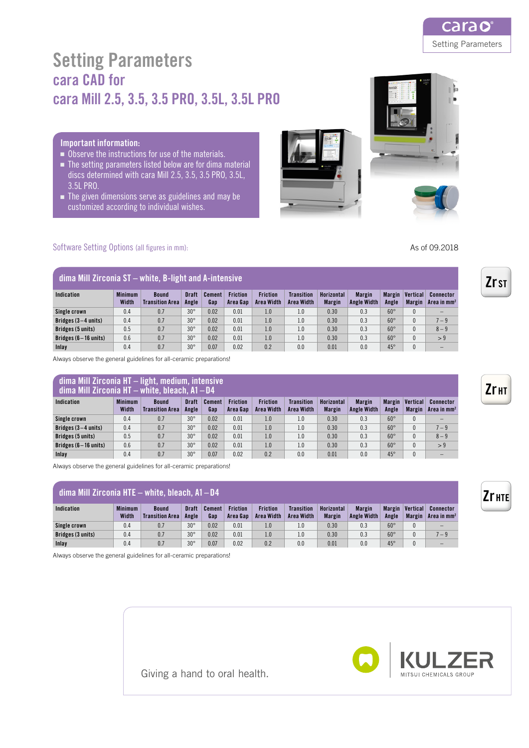

# Setting Parameters cara CAD for cara Mill 2.5, 3.5, 3.5 PRO, 3.5L, 3.5L PRO

### Important information:

- Observe the instructions for use of the materials.
- The setting parameters listed below are for dima material discs determined with cara Mill 2.5, 3.5, 3.5 PRO, 3.5L, 3.5L PRO.
- The given dimensions serve as guidelines and may be customized according to individual wishes.

Software Setting Options (all figures in mm):

## dima Mill Zirconia ST – white, B-light and A-intensive

| Indication                     | <b>Minimum</b><br>Width | <b>Bound</b><br><b>Transition Area</b> | <b>Draft</b><br>Angle | <b>Cement</b><br>Gan | <b>Friction</b><br>Area Gap | <b>Friction</b><br><b>Area Width</b> | <b>Transition</b><br><b>Area Width</b> | Horizontal<br><b>Margin</b> | <b>Margin</b><br><b>Angle Width</b> | Margin<br>Angle | Vertical<br><b>Margin</b> | Connector<br>Area in mm |
|--------------------------------|-------------------------|----------------------------------------|-----------------------|----------------------|-----------------------------|--------------------------------------|----------------------------------------|-----------------------------|-------------------------------------|-----------------|---------------------------|-------------------------|
| Single crown                   | 0.4                     | 0.7                                    | $30^\circ$            | 0.02                 | 0.01                        | 1.0                                  | 1.0                                    | 0.30                        | 0.3                                 | $60^\circ$      |                           |                         |
| Bridges $(3-4 \text{ units})$  | 0.4                     | 0.7                                    | $30^\circ$            | 0.02                 | 0.01                        | 1.0                                  | 1.0                                    | 0.30                        | 0.3                                 | $60^\circ$      |                           | $7 - 9$                 |
| Bridges (5 units)              | 0.5                     | 0.7                                    | $30^\circ$            | 0.02                 | 0.01                        | 1.0                                  | 1.0                                    | 0.30                        | 0.3                                 | $60^\circ$      |                           | $8 - 9$                 |
| Bridges $(6-16 \text{ units})$ | 0.6                     | 0.7                                    | $30^\circ$            | 0.02                 | 0.01                        | 1.0                                  | 1.0                                    | 0.30                        | 0.3                                 | $60^\circ$      |                           | > 9                     |
| Inlav                          | 0.4                     | 0.7                                    | $30^\circ$            | 0.07                 | 0.02                        | 0.2                                  | 0.0                                    | 0.01                        | 0.0                                 | $45^\circ$      |                           |                         |

Always observe the general guidelines for all-ceramic preparations!

### dima Mill Zirconia HT – light, medium, intensive dima Mill Zirconia HT – white, bleach, A1–D4

| UIIIIA MIII LII COIIIA III – WIIILG, DIGACII, AT – D4 |                         |                                        |                       |               |                             |                               |                                 |                             |                                     |                 |                           |                         |
|-------------------------------------------------------|-------------------------|----------------------------------------|-----------------------|---------------|-----------------------------|-------------------------------|---------------------------------|-----------------------------|-------------------------------------|-----------------|---------------------------|-------------------------|
| Indication                                            | <b>Minimum</b><br>Width | <b>Bound</b><br><b>Transition Area</b> | <b>Draft</b><br>Angle | Cement<br>Gap | <b>Friction</b><br>Area Gap | <b>Friction</b><br>Area Width | <b>Transition</b><br>Area Width | Horizontal<br><b>Margin</b> | <b>Margin</b><br><b>Angle Width</b> | Margin<br>Angle | Vertical<br><b>Margin</b> | Connector<br>Area in mm |
| Single crown                                          | 0.4                     | 0.7                                    | $30^\circ$            | 0.02          | 0.01                        | 1.0                           | 1.0                             | 0.30                        | 0.3                                 | $60^\circ$      |                           |                         |
| Bridges $(3-4 \text{ units})$                         | 0.4                     | 0.7                                    | $30^\circ$            | 0.02          | 0.01                        | 1.0                           | 1.0                             | 0.30                        | 0.3                                 | $60^\circ$      |                           | $7 - 9$                 |
| Bridges (5 units)                                     | 0.5                     | 0.7                                    | $30^\circ$            | 0.02          | 0.01                        | 1.0                           | 1.0                             | 0.30                        | 0.3                                 | $60^\circ$      |                           | $8 - 9$                 |
| Bridges $(6-16 \text{ units})$                        | 0.6                     | 0.7                                    | $30^\circ$            | 0.02          | 0.01                        | 1.0                           | 1.0                             | 0.30                        | 0.3                                 | $60^\circ$      |                           | > 9                     |
| Inlav                                                 | 0.4                     | 0.7                                    | $30^\circ$            | 0.07          | 0.02                        | 0.2                           | 0.0                             | 0.01                        | 0.0                                 | $45^\circ$      |                           |                         |

Always observe the general guidelines for all-ceramic preparations!

| dima Mill Zirconia HTE $-$ white, bleach, A1 $-$ D4 |                         |                                        |                |                      |                             |                               |                                 |                             |                                     |                        |                           |                            |  |
|-----------------------------------------------------|-------------------------|----------------------------------------|----------------|----------------------|-----------------------------|-------------------------------|---------------------------------|-----------------------------|-------------------------------------|------------------------|---------------------------|----------------------------|--|
| Indication                                          | <b>Minimum</b><br>Width | <b>Bound</b><br><b>Transition Area</b> | Draft<br>Angle | <b>Cement</b><br>Gan | <b>Friction</b><br>Area Gan | <b>Friction</b><br>Area Width | <b>Transition</b><br>Area Width | Horizontal<br><b>Margin</b> | <b>Margin</b><br><b>Angle Width</b> | <b>Margin</b><br>Angle | Vertical<br><b>Margin</b> | Connector<br>Area in $mm2$ |  |
| Single crown                                        | 0.4                     | 0.7                                    | $30^\circ$     | 0.02                 | 0.01                        | 1.0                           | 1.0                             | 0.30                        | 0.3                                 | $60^\circ$             |                           | $\overline{\phantom{0}}$   |  |
| Bridges (3 units)                                   | 0.4                     | 0.7                                    | $30^\circ$     | 0.02                 | 0.01                        | 1.0                           | 1.0                             | 0.30                        | 0.3                                 | $60^\circ$             |                           | $7 - 9$                    |  |
| Inlay                                               | 0.4                     | 0.7                                    | $30^\circ$     | 0.07                 | 0.02                        | 0.2                           | 0.0                             | 0.01                        | 0.0                                 | $45^\circ$             |                           |                            |  |

Always observe the general guidelines for all-ceramic preparations!



Giving a hand to oral health.

As of 09.2018

Zr ST

Zr<sub>HT</sub>

Zr hte